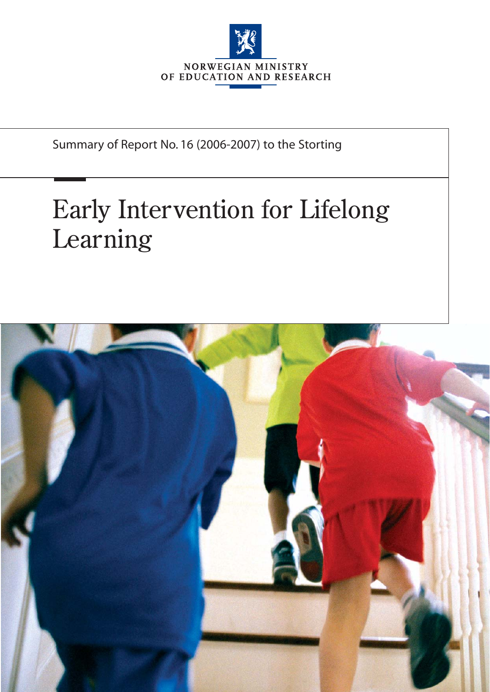

Summary of Report No. 16 (2006-2007) to the Storting

# Early Intervention for Lifelong Learning

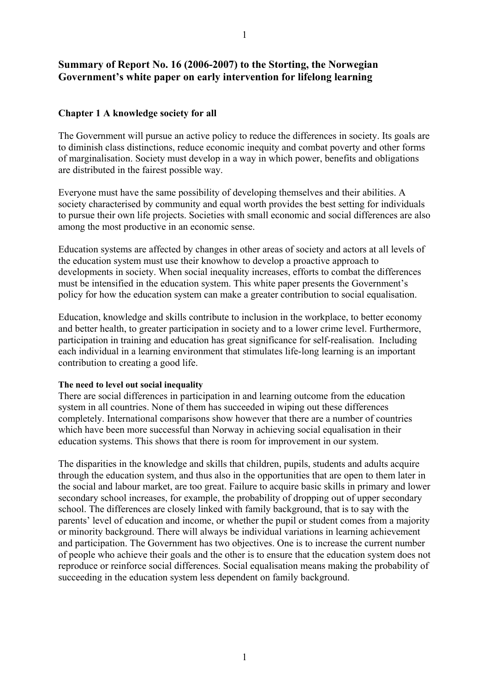# **Summary of Report No. 16 (2006-2007) to the Storting, the Norwegian Government's white paper on early intervention for lifelong learning**

# **Chapter 1 A knowledge society for all**

The Government will pursue an active policy to reduce the differences in society. Its goals are to diminish class distinctions, reduce economic inequity and combat poverty and other forms of marginalisation. Society must develop in a way in which power, benefits and obligations are distributed in the fairest possible way.

Everyone must have the same possibility of developing themselves and their abilities. A society characterised by community and equal worth provides the best setting for individuals to pursue their own life projects. Societies with small economic and social differences are also among the most productive in an economic sense.

Education systems are affected by changes in other areas of society and actors at all levels of the education system must use their knowhow to develop a proactive approach to developments in society. When social inequality increases, efforts to combat the differences must be intensified in the education system. This white paper presents the Government's policy for how the education system can make a greater contribution to social equalisation.

Education, knowledge and skills contribute to inclusion in the workplace, to better economy and better health, to greater participation in society and to a lower crime level. Furthermore, participation in training and education has great significance for self-realisation. Including each individual in a learning environment that stimulates life-long learning is an important contribution to creating a good life.

#### **The need to level out social inequality**

There are social differences in participation in and learning outcome from the education system in all countries. None of them has succeeded in wiping out these differences completely. International comparisons show however that there are a number of countries which have been more successful than Norway in achieving social equalisation in their education systems. This shows that there is room for improvement in our system.

The disparities in the knowledge and skills that children, pupils, students and adults acquire through the education system, and thus also in the opportunities that are open to them later in the social and labour market, are too great. Failure to acquire basic skills in primary and lower secondary school increases, for example, the probability of dropping out of upper secondary school. The differences are closely linked with family background, that is to say with the parents' level of education and income, or whether the pupil or student comes from a majority or minority background. There will always be individual variations in learning achievement and participation. The Government has two objectives. One is to increase the current number of people who achieve their goals and the other is to ensure that the education system does not reproduce or reinforce social differences. Social equalisation means making the probability of succeeding in the education system less dependent on family background.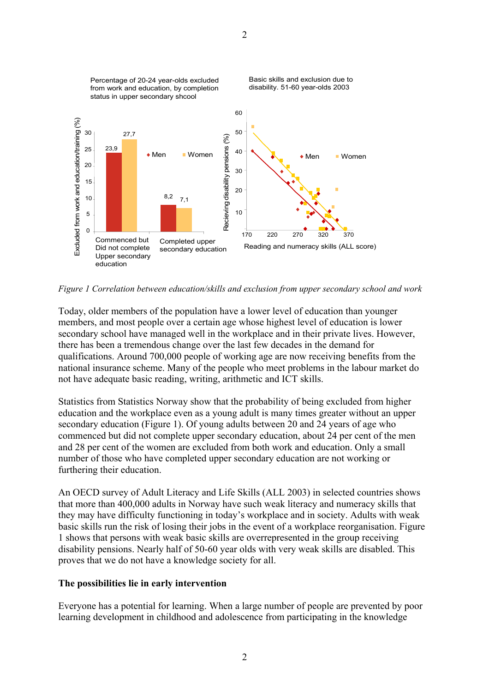

*Figure 1 Correlation between education/skills and exclusion from upper secondary school and work* 

Today, older members of the population have a lower level of education than younger members, and most people over a certain age whose highest level of education is lower secondary school have managed well in the workplace and in their private lives. However, there has been a tremendous change over the last few decades in the demand for qualifications. Around 700,000 people of working age are now receiving benefits from the national insurance scheme. Many of the people who meet problems in the labour market do not have adequate basic reading, writing, arithmetic and ICT skills.

Statistics from Statistics Norway show that the probability of being excluded from higher education and the workplace even as a young adult is many times greater without an upper secondary education (Figure 1). Of young adults between 20 and 24 years of age who commenced but did not complete upper secondary education, about 24 per cent of the men and 28 per cent of the women are excluded from both work and education. Only a small number of those who have completed upper secondary education are not working or furthering their education.

An OECD survey of Adult Literacy and Life Skills (ALL 2003) in selected countries shows that more than 400,000 adults in Norway have such weak literacy and numeracy skills that they may have difficulty functioning in today's workplace and in society. Adults with weak basic skills run the risk of losing their jobs in the event of a workplace reorganisation. Figure 1 shows that persons with weak basic skills are overrepresented in the group receiving disability pensions. Nearly half of 50-60 year olds with very weak skills are disabled. This proves that we do not have a knowledge society for all.

#### **The possibilities lie in early intervention**

Everyone has a potential for learning. When a large number of people are prevented by poor learning development in childhood and adolescence from participating in the knowledge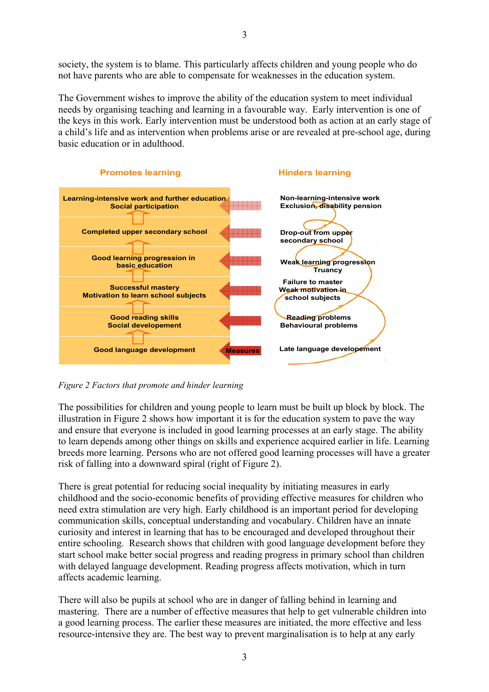society, the system is to blame. This particularly affects children and young people who do not have parents who are able to compensate for weaknesses in the education system.

The Government wishes to improve the ability of the education system to meet individual needs by organising teaching and learning in a favourable way. Early intervention is one of the keys in this work. Early intervention must be understood both as action at an early stage of a child's life and as intervention when problems arise or are revealed at pre-school age, during basic education or in adulthood.



*Figure 2 Factors that promote and hinder learning* 

The possibilities for children and young people to learn must be built up block by block. The illustration in Figure 2 shows how important it is for the education system to pave the way and ensure that everyone is included in good learning processes at an early stage. The ability to learn depends among other things on skills and experience acquired earlier in life. Learning breeds more learning. Persons who are not offered good learning processes will have a greater risk of falling into a downward spiral (right of Figure 2).

There is great potential for reducing social inequality by initiating measures in early childhood and the socio-economic benefits of providing effective measures for children who need extra stimulation are very high. Early childhood is an important period for developing communication skills, conceptual understanding and vocabulary. Children have an innate curiosity and interest in learning that has to be encouraged and developed throughout their entire schooling. Research shows that children with good language development before they start school make better social progress and reading progress in primary school than children with delayed language development. Reading progress affects motivation, which in turn affects academic learning.

There will also be pupils at school who are in danger of falling behind in learning and mastering. There are a number of effective measures that help to get vulnerable children into a good learning process. The earlier these measures are initiated, the more effective and less resource-intensive they are. The best way to prevent marginalisation is to help at any early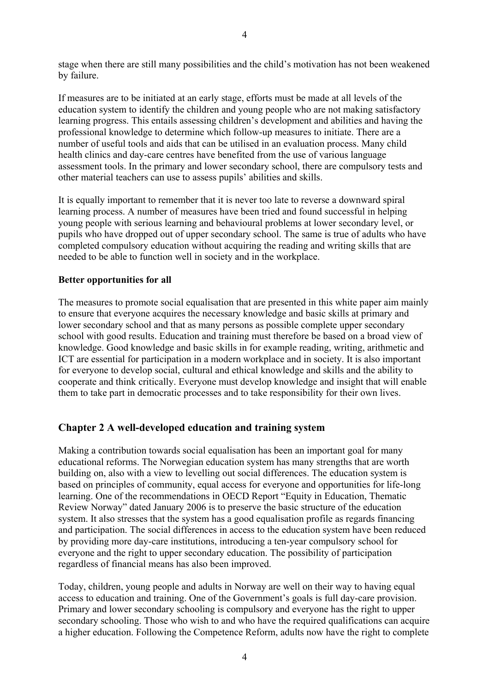stage when there are still many possibilities and the child's motivation has not been weakened by failure.

If measures are to be initiated at an early stage, efforts must be made at all levels of the education system to identify the children and young people who are not making satisfactory learning progress. This entails assessing children's development and abilities and having the professional knowledge to determine which follow-up measures to initiate. There are a number of useful tools and aids that can be utilised in an evaluation process. Many child health clinics and day-care centres have benefited from the use of various language assessment tools. In the primary and lower secondary school, there are compulsory tests and other material teachers can use to assess pupils' abilities and skills.

It is equally important to remember that it is never too late to reverse a downward spiral learning process. A number of measures have been tried and found successful in helping young people with serious learning and behavioural problems at lower secondary level, or pupils who have dropped out of upper secondary school. The same is true of adults who have completed compulsory education without acquiring the reading and writing skills that are needed to be able to function well in society and in the workplace.

#### **Better opportunities for all**

The measures to promote social equalisation that are presented in this white paper aim mainly to ensure that everyone acquires the necessary knowledge and basic skills at primary and lower secondary school and that as many persons as possible complete upper secondary school with good results. Education and training must therefore be based on a broad view of knowledge. Good knowledge and basic skills in for example reading, writing, arithmetic and ICT are essential for participation in a modern workplace and in society. It is also important for everyone to develop social, cultural and ethical knowledge and skills and the ability to cooperate and think critically. Everyone must develop knowledge and insight that will enable them to take part in democratic processes and to take responsibility for their own lives.

# **Chapter 2 A well-developed education and training system**

Making a contribution towards social equalisation has been an important goal for many educational reforms. The Norwegian education system has many strengths that are worth building on, also with a view to levelling out social differences. The education system is based on principles of community, equal access for everyone and opportunities for life-long learning. One of the recommendations in OECD Report "Equity in Education, Thematic Review Norway" dated January 2006 is to preserve the basic structure of the education system. It also stresses that the system has a good equalisation profile as regards financing and participation. The social differences in access to the education system have been reduced by providing more day-care institutions, introducing a ten-year compulsory school for everyone and the right to upper secondary education. The possibility of participation regardless of financial means has also been improved.

Today, children, young people and adults in Norway are well on their way to having equal access to education and training. One of the Government's goals is full day-care provision. Primary and lower secondary schooling is compulsory and everyone has the right to upper secondary schooling. Those who wish to and who have the required qualifications can acquire a higher education. Following the Competence Reform, adults now have the right to complete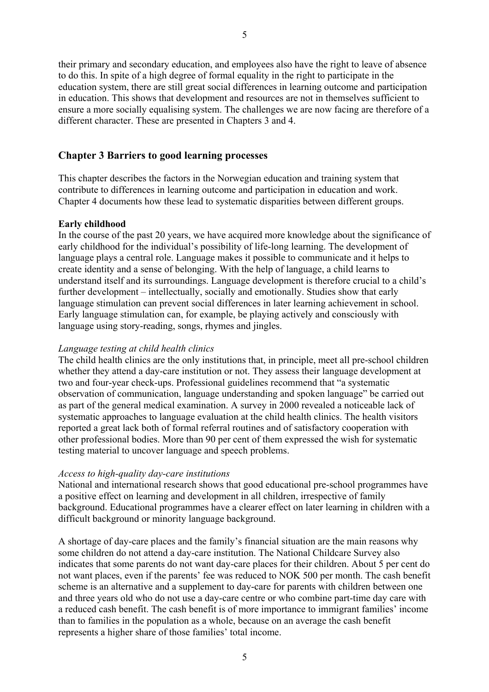their primary and secondary education, and employees also have the right to leave of absence to do this. In spite of a high degree of formal equality in the right to participate in the education system, there are still great social differences in learning outcome and participation in education. This shows that development and resources are not in themselves sufficient to ensure a more socially equalising system. The challenges we are now facing are therefore of a different character. These are presented in Chapters 3 and 4.

# **Chapter 3 Barriers to good learning processes**

This chapter describes the factors in the Norwegian education and training system that contribute to differences in learning outcome and participation in education and work. Chapter 4 documents how these lead to systematic disparities between different groups.

#### **Early childhood**

In the course of the past 20 years, we have acquired more knowledge about the significance of early childhood for the individual's possibility of life-long learning. The development of language plays a central role. Language makes it possible to communicate and it helps to create identity and a sense of belonging. With the help of language, a child learns to understand itself and its surroundings. Language development is therefore crucial to a child's further development – intellectually, socially and emotionally. Studies show that early language stimulation can prevent social differences in later learning achievement in school. Early language stimulation can, for example, be playing actively and consciously with language using story-reading, songs, rhymes and jingles.

#### *Language testing at child health clinics*

The child health clinics are the only institutions that, in principle, meet all pre-school children whether they attend a day-care institution or not. They assess their language development at two and four-year check-ups. Professional guidelines recommend that "a systematic observation of communication, language understanding and spoken language" be carried out as part of the general medical examination. A survey in 2000 revealed a noticeable lack of systematic approaches to language evaluation at the child health clinics. The health visitors reported a great lack both of formal referral routines and of satisfactory cooperation with other professional bodies. More than 90 per cent of them expressed the wish for systematic testing material to uncover language and speech problems.

#### *Access to high-quality day-care institutions*

National and international research shows that good educational pre-school programmes have a positive effect on learning and development in all children, irrespective of family background. Educational programmes have a clearer effect on later learning in children with a difficult background or minority language background.

A shortage of day-care places and the family's financial situation are the main reasons why some children do not attend a day-care institution. The National Childcare Survey also indicates that some parents do not want day-care places for their children. About 5 per cent do not want places, even if the parents' fee was reduced to NOK 500 per month. The cash benefit scheme is an alternative and a supplement to day-care for parents with children between one and three years old who do not use a day-care centre or who combine part-time day care with a reduced cash benefit. The cash benefit is of more importance to immigrant families' income than to families in the population as a whole, because on an average the cash benefit represents a higher share of those families' total income.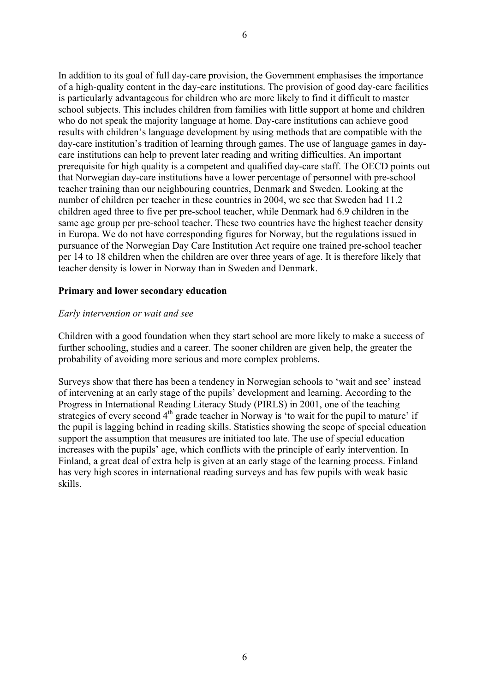6

In addition to its goal of full day-care provision, the Government emphasises the importance of a high-quality content in the day-care institutions. The provision of good day-care facilities is particularly advantageous for children who are more likely to find it difficult to master school subjects. This includes children from families with little support at home and children who do not speak the majority language at home. Day-care institutions can achieve good results with children's language development by using methods that are compatible with the day-care institution's tradition of learning through games. The use of language games in daycare institutions can help to prevent later reading and writing difficulties. An important prerequisite for high quality is a competent and qualified day-care staff. The OECD points out that Norwegian day-care institutions have a lower percentage of personnel with pre-school teacher training than our neighbouring countries, Denmark and Sweden. Looking at the number of children per teacher in these countries in 2004, we see that Sweden had 11.2 children aged three to five per pre-school teacher, while Denmark had 6.9 children in the same age group per pre-school teacher. These two countries have the highest teacher density in Europa. We do not have corresponding figures for Norway, but the regulations issued in pursuance of the Norwegian Day Care Institution Act require one trained pre-school teacher per 14 to 18 children when the children are over three years of age. It is therefore likely that teacher density is lower in Norway than in Sweden and Denmark.

#### **Primary and lower secondary education**

#### *Early intervention or wait and see*

Children with a good foundation when they start school are more likely to make a success of further schooling, studies and a career. The sooner children are given help, the greater the probability of avoiding more serious and more complex problems.

Surveys show that there has been a tendency in Norwegian schools to 'wait and see' instead of intervening at an early stage of the pupils' development and learning. According to the Progress in International Reading Literacy Study (PIRLS) in 2001, one of the teaching strategies of every second  $4<sup>th</sup>$  grade teacher in Norway is 'to wait for the pupil to mature' if the pupil is lagging behind in reading skills. Statistics showing the scope of special education support the assumption that measures are initiated too late. The use of special education increases with the pupils' age, which conflicts with the principle of early intervention. In Finland, a great deal of extra help is given at an early stage of the learning process. Finland has very high scores in international reading surveys and has few pupils with weak basic skills.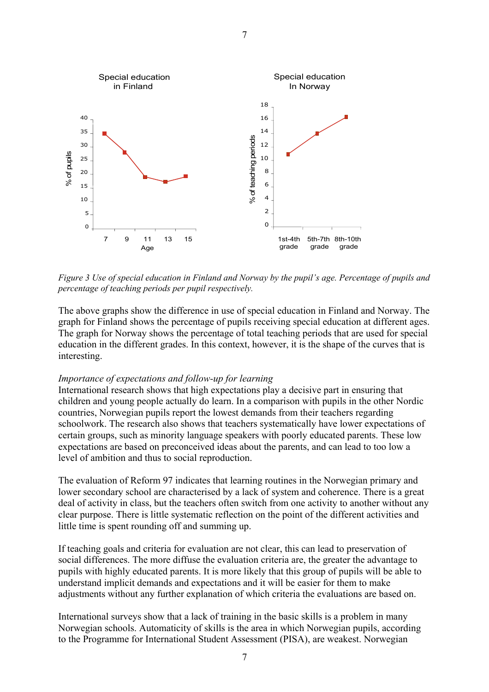

*Figure 3 Use of special education in Finland and Norway by the pupil's age. Percentage of pupils and percentage of teaching periods per pupil respectively.* 

The above graphs show the difference in use of special education in Finland and Norway. The graph for Finland shows the percentage of pupils receiving special education at different ages. The graph for Norway shows the percentage of total teaching periods that are used for special education in the different grades. In this context, however, it is the shape of the curves that is interesting.

#### *Importance of expectations and follow-up for learning*

International research shows that high expectations play a decisive part in ensuring that children and young people actually do learn. In a comparison with pupils in the other Nordic countries, Norwegian pupils report the lowest demands from their teachers regarding schoolwork. The research also shows that teachers systematically have lower expectations of certain groups, such as minority language speakers with poorly educated parents. These low expectations are based on preconceived ideas about the parents, and can lead to too low a level of ambition and thus to social reproduction.

The evaluation of Reform 97 indicates that learning routines in the Norwegian primary and lower secondary school are characterised by a lack of system and coherence. There is a great deal of activity in class, but the teachers often switch from one activity to another without any clear purpose. There is little systematic reflection on the point of the different activities and little time is spent rounding off and summing up.

If teaching goals and criteria for evaluation are not clear, this can lead to preservation of social differences. The more diffuse the evaluation criteria are, the greater the advantage to pupils with highly educated parents. It is more likely that this group of pupils will be able to understand implicit demands and expectations and it will be easier for them to make adjustments without any further explanation of which criteria the evaluations are based on.

International surveys show that a lack of training in the basic skills is a problem in many Norwegian schools. Automaticity of skills is the area in which Norwegian pupils, according to the Programme for International Student Assessment (PISA), are weakest. Norwegian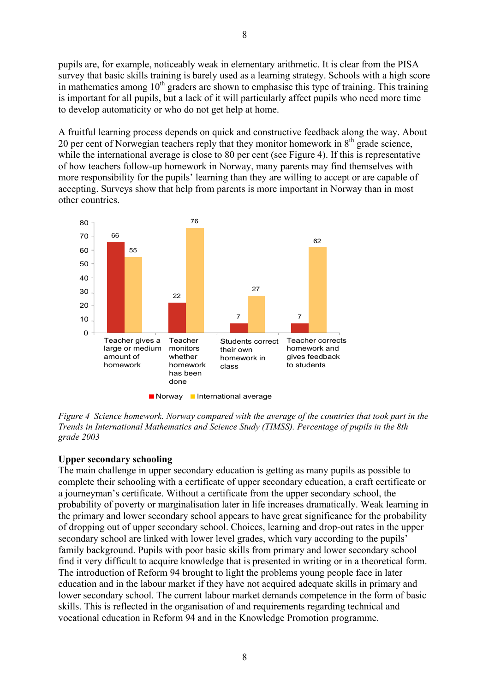pupils are, for example, noticeably weak in elementary arithmetic. It is clear from the PISA survey that basic skills training is barely used as a learning strategy. Schools with a high score in mathematics among  $10<sup>th</sup>$  graders are shown to emphasise this type of training. This training is important for all pupils, but a lack of it will particularly affect pupils who need more time to develop automaticity or who do not get help at home.

A fruitful learning process depends on quick and constructive feedback along the way. About 20 per cent of Norwegian teachers reply that they monitor homework in  $8<sup>th</sup>$  grade science, while the international average is close to 80 per cent (see Figure 4). If this is representative of how teachers follow-up homework in Norway, many parents may find themselves with more responsibility for the pupils' learning than they are willing to accept or are capable of accepting. Surveys show that help from parents is more important in Norway than in most other countries.



*Figure 4 Science homework. Norway compared with the average of the countries that took part in the Trends in International Mathematics and Science Study (TIMSS). Percentage of pupils in the 8th grade 2003* 

#### **Upper secondary schooling**

The main challenge in upper secondary education is getting as many pupils as possible to complete their schooling with a certificate of upper secondary education, a craft certificate or a journeyman's certificate. Without a certificate from the upper secondary school, the probability of poverty or marginalisation later in life increases dramatically. Weak learning in the primary and lower secondary school appears to have great significance for the probability of dropping out of upper secondary school. Choices, learning and drop-out rates in the upper secondary school are linked with lower level grades, which vary according to the pupils' family background. Pupils with poor basic skills from primary and lower secondary school find it very difficult to acquire knowledge that is presented in writing or in a theoretical form. The introduction of Reform 94 brought to light the problems young people face in later education and in the labour market if they have not acquired adequate skills in primary and lower secondary school. The current labour market demands competence in the form of basic skills. This is reflected in the organisation of and requirements regarding technical and vocational education in Reform 94 and in the Knowledge Promotion programme.

8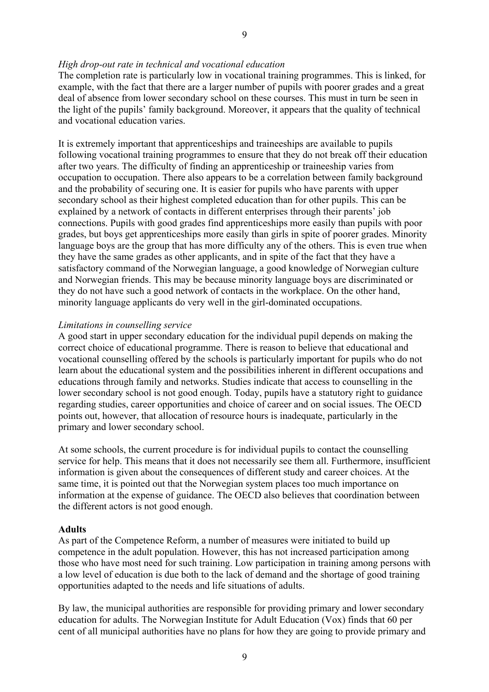#### *High drop-out rate in technical and vocational education*

The completion rate is particularly low in vocational training programmes. This is linked, for example, with the fact that there are a larger number of pupils with poorer grades and a great deal of absence from lower secondary school on these courses. This must in turn be seen in the light of the pupils' family background. Moreover, it appears that the quality of technical and vocational education varies.

It is extremely important that apprenticeships and traineeships are available to pupils following vocational training programmes to ensure that they do not break off their education after two years. The difficulty of finding an apprenticeship or traineeship varies from occupation to occupation. There also appears to be a correlation between family background and the probability of securing one. It is easier for pupils who have parents with upper secondary school as their highest completed education than for other pupils. This can be explained by a network of contacts in different enterprises through their parents' job connections. Pupils with good grades find apprenticeships more easily than pupils with poor grades, but boys get apprenticeships more easily than girls in spite of poorer grades. Minority language boys are the group that has more difficulty any of the others. This is even true when they have the same grades as other applicants, and in spite of the fact that they have a satisfactory command of the Norwegian language, a good knowledge of Norwegian culture and Norwegian friends. This may be because minority language boys are discriminated or they do not have such a good network of contacts in the workplace. On the other hand, minority language applicants do very well in the girl-dominated occupations.

#### *Limitations in counselling service*

A good start in upper secondary education for the individual pupil depends on making the correct choice of educational programme. There is reason to believe that educational and vocational counselling offered by the schools is particularly important for pupils who do not learn about the educational system and the possibilities inherent in different occupations and educations through family and networks. Studies indicate that access to counselling in the lower secondary school is not good enough. Today, pupils have a statutory right to guidance regarding studies, career opportunities and choice of career and on social issues. The OECD points out, however, that allocation of resource hours is inadequate, particularly in the primary and lower secondary school.

At some schools, the current procedure is for individual pupils to contact the counselling service for help. This means that it does not necessarily see them all. Furthermore, insufficient information is given about the consequences of different study and career choices. At the same time, it is pointed out that the Norwegian system places too much importance on information at the expense of guidance. The OECD also believes that coordination between the different actors is not good enough.

#### **Adults**

As part of the Competence Reform, a number of measures were initiated to build up competence in the adult population. However, this has not increased participation among those who have most need for such training. Low participation in training among persons with a low level of education is due both to the lack of demand and the shortage of good training opportunities adapted to the needs and life situations of adults.

By law, the municipal authorities are responsible for providing primary and lower secondary education for adults. The Norwegian Institute for Adult Education (Vox) finds that 60 per cent of all municipal authorities have no plans for how they are going to provide primary and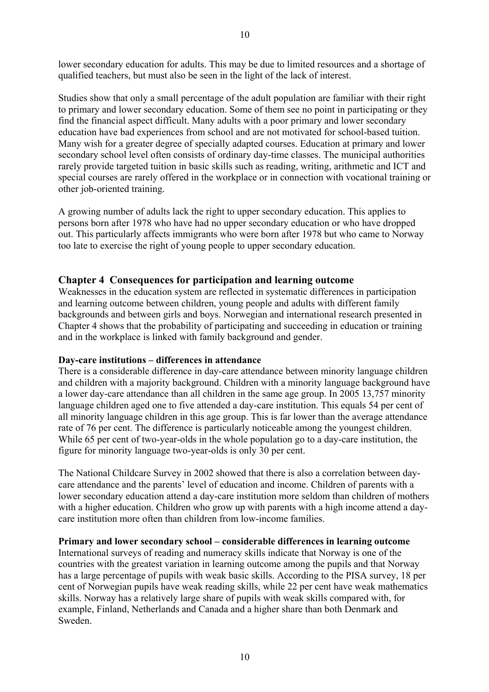lower secondary education for adults. This may be due to limited resources and a shortage of qualified teachers, but must also be seen in the light of the lack of interest.

Studies show that only a small percentage of the adult population are familiar with their right to primary and lower secondary education. Some of them see no point in participating or they find the financial aspect difficult. Many adults with a poor primary and lower secondary education have bad experiences from school and are not motivated for school-based tuition. Many wish for a greater degree of specially adapted courses. Education at primary and lower secondary school level often consists of ordinary day-time classes. The municipal authorities rarely provide targeted tuition in basic skills such as reading, writing, arithmetic and ICT and special courses are rarely offered in the workplace or in connection with vocational training or other job-oriented training.

A growing number of adults lack the right to upper secondary education. This applies to persons born after 1978 who have had no upper secondary education or who have dropped out. This particularly affects immigrants who were born after 1978 but who came to Norway too late to exercise the right of young people to upper secondary education.

# **Chapter 4 Consequences for participation and learning outcome**

Weaknesses in the education system are reflected in systematic differences in participation and learning outcome between children, young people and adults with different family backgrounds and between girls and boys. Norwegian and international research presented in Chapter 4 shows that the probability of participating and succeeding in education or training and in the workplace is linked with family background and gender.

#### **Day-care institutions – differences in attendance**

There is a considerable difference in day-care attendance between minority language children and children with a majority background. Children with a minority language background have a lower day-care attendance than all children in the same age group. In 2005 13,757 minority language children aged one to five attended a day-care institution. This equals 54 per cent of all minority language children in this age group. This is far lower than the average attendance rate of 76 per cent. The difference is particularly noticeable among the youngest children. While 65 per cent of two-year-olds in the whole population go to a day-care institution, the figure for minority language two-year-olds is only 30 per cent.

The National Childcare Survey in 2002 showed that there is also a correlation between daycare attendance and the parents' level of education and income. Children of parents with a lower secondary education attend a day-care institution more seldom than children of mothers with a higher education. Children who grow up with parents with a high income attend a daycare institution more often than children from low-income families.

#### **Primary and lower secondary school – considerable differences in learning outcome**

International surveys of reading and numeracy skills indicate that Norway is one of the countries with the greatest variation in learning outcome among the pupils and that Norway has a large percentage of pupils with weak basic skills. According to the PISA survey, 18 per cent of Norwegian pupils have weak reading skills, while 22 per cent have weak mathematics skills. Norway has a relatively large share of pupils with weak skills compared with, for example, Finland, Netherlands and Canada and a higher share than both Denmark and Sweden.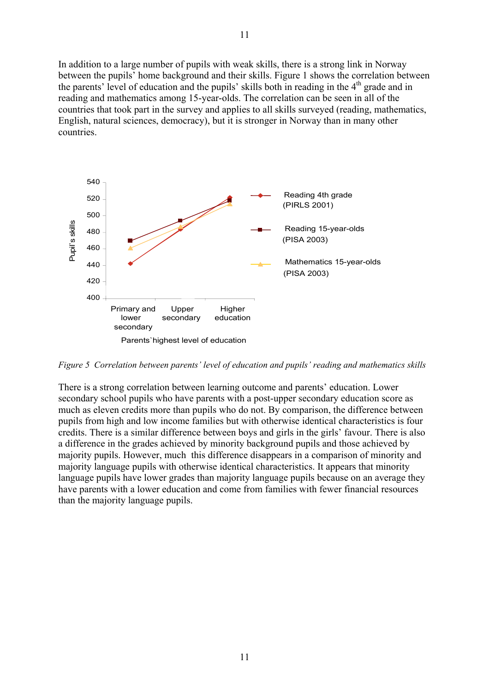In addition to a large number of pupils with weak skills, there is a strong link in Norway between the pupils' home background and their skills. Figure 1 shows the correlation between the parents' level of education and the pupils' skills both in reading in the  $4<sup>th</sup>$  grade and in reading and mathematics among 15-year-olds. The correlation can be seen in all of the countries that took part in the survey and applies to all skills surveyed (reading, mathematics, English, natural sciences, democracy), but it is stronger in Norway than in many other countries.



*Figure 5 Correlation between parents' level of education and pupils' reading and mathematics skills* 

There is a strong correlation between learning outcome and parents' education. Lower secondary school pupils who have parents with a post-upper secondary education score as much as eleven credits more than pupils who do not. By comparison, the difference between pupils from high and low income families but with otherwise identical characteristics is four credits. There is a similar difference between boys and girls in the girls' favour. There is also a difference in the grades achieved by minority background pupils and those achieved by majority pupils. However, much this difference disappears in a comparison of minority and majority language pupils with otherwise identical characteristics. It appears that minority language pupils have lower grades than majority language pupils because on an average they have parents with a lower education and come from families with fewer financial resources than the majority language pupils.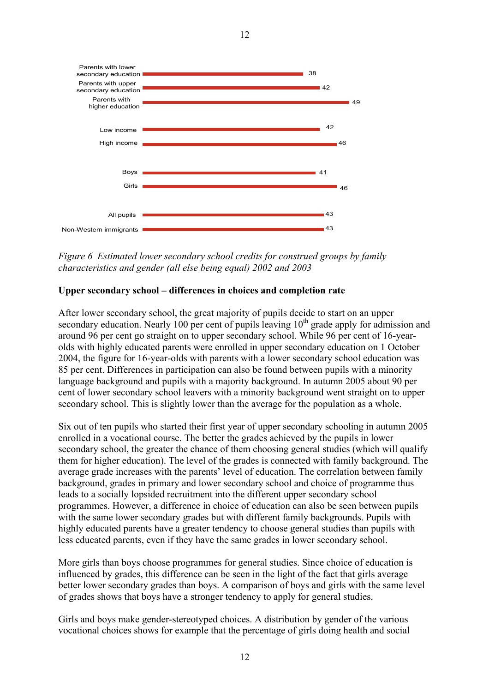

*Figure 6 Estimated lower secondary school credits for construed groups by family characteristics and gender (all else being equal) 2002 and 2003* 

#### **Upper secondary school – differences in choices and completion rate**

After lower secondary school, the great majority of pupils decide to start on an upper secondary education. Nearly 100 per cent of pupils leaving  $10<sup>th</sup>$  grade apply for admission and around 96 per cent go straight on to upper secondary school. While 96 per cent of 16-yearolds with highly educated parents were enrolled in upper secondary education on 1 October 2004, the figure for 16-year-olds with parents with a lower secondary school education was 85 per cent. Differences in participation can also be found between pupils with a minority language background and pupils with a majority background. In autumn 2005 about 90 per cent of lower secondary school leavers with a minority background went straight on to upper secondary school. This is slightly lower than the average for the population as a whole.

Six out of ten pupils who started their first year of upper secondary schooling in autumn 2005 enrolled in a vocational course. The better the grades achieved by the pupils in lower secondary school, the greater the chance of them choosing general studies (which will qualify them for higher education). The level of the grades is connected with family background. The average grade increases with the parents' level of education. The correlation between family background, grades in primary and lower secondary school and choice of programme thus leads to a socially lopsided recruitment into the different upper secondary school programmes. However, a difference in choice of education can also be seen between pupils with the same lower secondary grades but with different family backgrounds. Pupils with highly educated parents have a greater tendency to choose general studies than pupils with less educated parents, even if they have the same grades in lower secondary school.

More girls than boys choose programmes for general studies. Since choice of education is influenced by grades, this difference can be seen in the light of the fact that girls average better lower secondary grades than boys. A comparison of boys and girls with the same level of grades shows that boys have a stronger tendency to apply for general studies.

Girls and boys make gender-stereotyped choices. A distribution by gender of the various vocational choices shows for example that the percentage of girls doing health and social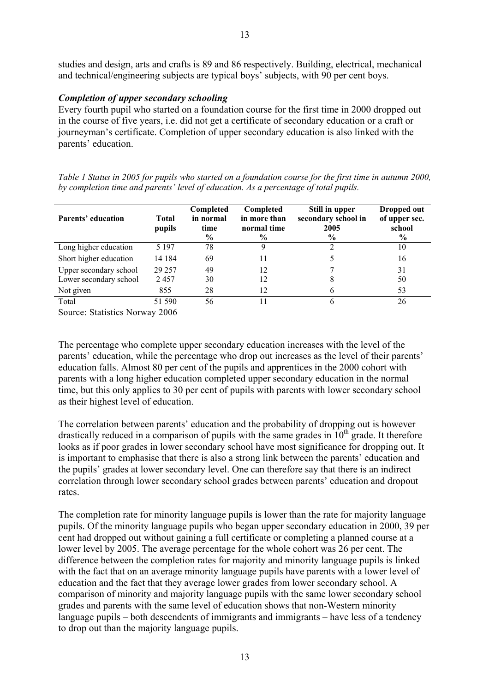studies and design, arts and crafts is 89 and 86 respectively. Building, electrical, mechanical and technical/engineering subjects are typical boys' subjects, with 90 per cent boys.

# *Completion of upper secondary schooling*

Every fourth pupil who started on a foundation course for the first time in 2000 dropped out in the course of five years, i.e. did not get a certificate of secondary education or a craft or journeyman's certificate. Completion of upper secondary education is also linked with the parents' education.

*Table 1 Status in 2005 for pupils who started on a foundation course for the first time in autumn 2000, by completion time and parents' level of education. As a percentage of total pupils.* 

| Parents' education          | Total<br>pupils      | Completed<br>in normal<br>time<br>$\%$ | Completed<br>in more than<br>normal time<br>$\%$ | Still in upper<br>secondary school in<br>2005<br>$\%$ | Dropped out<br>of upper sec.<br>school<br>$\%$ |
|-----------------------------|----------------------|----------------------------------------|--------------------------------------------------|-------------------------------------------------------|------------------------------------------------|
| Long higher education       | 5 1 9 7              | 78                                     |                                                  |                                                       | 10                                             |
| Short higher education      | 14 184               | 69                                     | 11                                               |                                                       | 16                                             |
| Upper secondary school      | 29 257               | 49                                     | 12                                               |                                                       | 31                                             |
| Lower secondary school      | 2457                 | 30                                     | 12                                               | 8                                                     | 50                                             |
| Not given                   | 855                  | 28                                     | 12                                               | 6                                                     | 53                                             |
| Total                       | 51 590               | 56                                     |                                                  |                                                       | 26                                             |
| $\sim$ $\sim$ $\sim$ $\sim$ | $\sim$ $\sim$ $\sim$ |                                        |                                                  |                                                       |                                                |

Source: Statistics Norway 2006

The percentage who complete upper secondary education increases with the level of the parents' education, while the percentage who drop out increases as the level of their parents' education falls. Almost 80 per cent of the pupils and apprentices in the 2000 cohort with parents with a long higher education completed upper secondary education in the normal time, but this only applies to 30 per cent of pupils with parents with lower secondary school as their highest level of education.

The correlation between parents' education and the probability of dropping out is however drastically reduced in a comparison of pupils with the same grades in  $10^{th}$  grade. It therefore looks as if poor grades in lower secondary school have most significance for dropping out. It is important to emphasise that there is also a strong link between the parents' education and the pupils' grades at lower secondary level. One can therefore say that there is an indirect correlation through lower secondary school grades between parents' education and dropout rates.

The completion rate for minority language pupils is lower than the rate for majority language pupils. Of the minority language pupils who began upper secondary education in 2000, 39 per cent had dropped out without gaining a full certificate or completing a planned course at a lower level by 2005. The average percentage for the whole cohort was 26 per cent. The difference between the completion rates for majority and minority language pupils is linked with the fact that on an average minority language pupils have parents with a lower level of education and the fact that they average lower grades from lower secondary school. A comparison of minority and majority language pupils with the same lower secondary school grades and parents with the same level of education shows that non-Western minority language pupils – both descendents of immigrants and immigrants – have less of a tendency to drop out than the majority language pupils.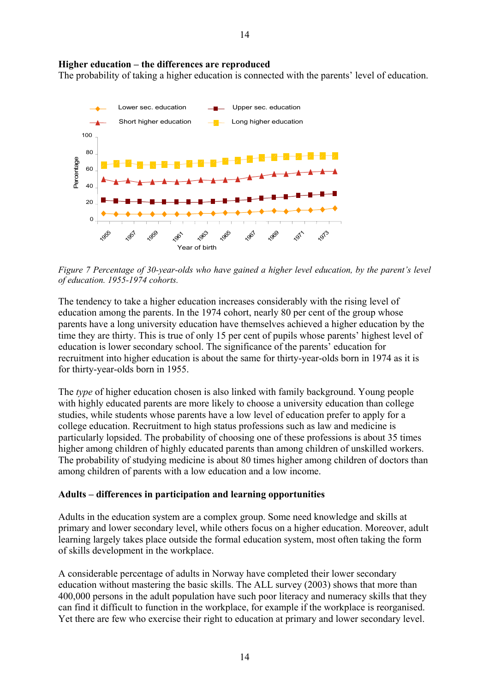#### **Higher education – the differences are reproduced**

The probability of taking a higher education is connected with the parents' level of education.



*Figure 7 Percentage of 30-year-olds who have gained a higher level education, by the parent's level of education. 1955-1974 cohorts.* 

The tendency to take a higher education increases considerably with the rising level of education among the parents. In the 1974 cohort, nearly 80 per cent of the group whose parents have a long university education have themselves achieved a higher education by the time they are thirty. This is true of only 15 per cent of pupils whose parents' highest level of education is lower secondary school. The significance of the parents' education for recruitment into higher education is about the same for thirty-year-olds born in 1974 as it is for thirty-year-olds born in 1955.

The *type* of higher education chosen is also linked with family background. Young people with highly educated parents are more likely to choose a university education than college studies, while students whose parents have a low level of education prefer to apply for a college education. Recruitment to high status professions such as law and medicine is particularly lopsided. The probability of choosing one of these professions is about 35 times higher among children of highly educated parents than among children of unskilled workers. The probability of studying medicine is about 80 times higher among children of doctors than among children of parents with a low education and a low income.

#### **Adults – differences in participation and learning opportunities**

Adults in the education system are a complex group. Some need knowledge and skills at primary and lower secondary level, while others focus on a higher education. Moreover, adult learning largely takes place outside the formal education system, most often taking the form of skills development in the workplace.

A considerable percentage of adults in Norway have completed their lower secondary education without mastering the basic skills. The ALL survey (2003) shows that more than 400,000 persons in the adult population have such poor literacy and numeracy skills that they can find it difficult to function in the workplace, for example if the workplace is reorganised. Yet there are few who exercise their right to education at primary and lower secondary level.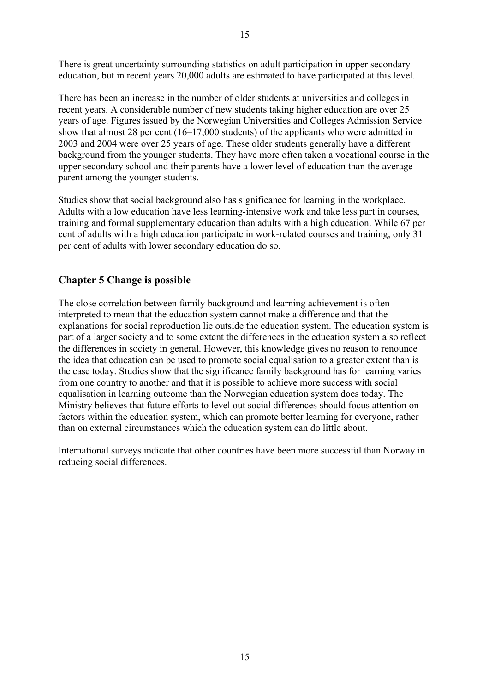There is great uncertainty surrounding statistics on adult participation in upper secondary education, but in recent years 20,000 adults are estimated to have participated at this level.

There has been an increase in the number of older students at universities and colleges in recent years. A considerable number of new students taking higher education are over 25 years of age. Figures issued by the Norwegian Universities and Colleges Admission Service show that almost 28 per cent (16–17,000 students) of the applicants who were admitted in 2003 and 2004 were over 25 years of age. These older students generally have a different background from the younger students. They have more often taken a vocational course in the upper secondary school and their parents have a lower level of education than the average parent among the younger students.

Studies show that social background also has significance for learning in the workplace. Adults with a low education have less learning-intensive work and take less part in courses, training and formal supplementary education than adults with a high education. While 67 per cent of adults with a high education participate in work-related courses and training, only 31 per cent of adults with lower secondary education do so.

# **Chapter 5 Change is possible**

The close correlation between family background and learning achievement is often interpreted to mean that the education system cannot make a difference and that the explanations for social reproduction lie outside the education system. The education system is part of a larger society and to some extent the differences in the education system also reflect the differences in society in general. However, this knowledge gives no reason to renounce the idea that education can be used to promote social equalisation to a greater extent than is the case today. Studies show that the significance family background has for learning varies from one country to another and that it is possible to achieve more success with social equalisation in learning outcome than the Norwegian education system does today. The Ministry believes that future efforts to level out social differences should focus attention on factors within the education system, which can promote better learning for everyone, rather than on external circumstances which the education system can do little about.

International surveys indicate that other countries have been more successful than Norway in reducing social differences.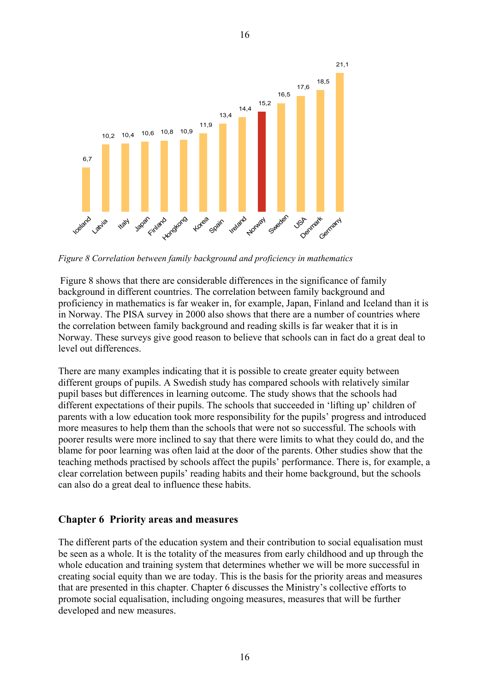

*Figure 8 Correlation between family background and proficiency in mathematics* 

Figure 8 shows that there are considerable differences in the significance of family background in different countries. The correlation between family background and proficiency in mathematics is far weaker in, for example, Japan, Finland and Iceland than it is in Norway. The PISA survey in 2000 also shows that there are a number of countries where the correlation between family background and reading skills is far weaker that it is in Norway. These surveys give good reason to believe that schools can in fact do a great deal to level out differences.

There are many examples indicating that it is possible to create greater equity between different groups of pupils. A Swedish study has compared schools with relatively similar pupil bases but differences in learning outcome. The study shows that the schools had different expectations of their pupils. The schools that succeeded in 'lifting up' children of parents with a low education took more responsibility for the pupils' progress and introduced more measures to help them than the schools that were not so successful. The schools with poorer results were more inclined to say that there were limits to what they could do, and the blame for poor learning was often laid at the door of the parents. Other studies show that the teaching methods practised by schools affect the pupils' performance. There is, for example, a clear correlation between pupils' reading habits and their home background, but the schools can also do a great deal to influence these habits.

# **Chapter 6 Priority areas and measures**

The different parts of the education system and their contribution to social equalisation must be seen as a whole. It is the totality of the measures from early childhood and up through the whole education and training system that determines whether we will be more successful in creating social equity than we are today. This is the basis for the priority areas and measures that are presented in this chapter. Chapter 6 discusses the Ministry's collective efforts to promote social equalisation, including ongoing measures, measures that will be further developed and new measures.

16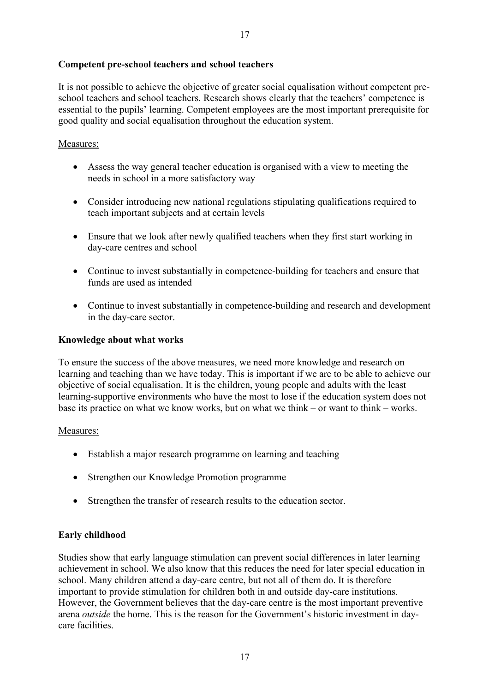#### **Competent pre-school teachers and school teachers**

It is not possible to achieve the objective of greater social equalisation without competent preschool teachers and school teachers. Research shows clearly that the teachers' competence is essential to the pupils' learning. Competent employees are the most important prerequisite for good quality and social equalisation throughout the education system.

# Measures:

- Assess the way general teacher education is organised with a view to meeting the needs in school in a more satisfactory way
- Consider introducing new national regulations stipulating qualifications required to teach important subjects and at certain levels
- Ensure that we look after newly qualified teachers when they first start working in day-care centres and school
- Continue to invest substantially in competence-building for teachers and ensure that funds are used as intended
- Continue to invest substantially in competence-building and research and development in the day-care sector.

#### **Knowledge about what works**

To ensure the success of the above measures, we need more knowledge and research on learning and teaching than we have today. This is important if we are to be able to achieve our objective of social equalisation. It is the children, young people and adults with the least learning-supportive environments who have the most to lose if the education system does not base its practice on what we know works, but on what we think – or want to think – works.

#### Measures:

- Establish a major research programme on learning and teaching
- Strengthen our Knowledge Promotion programme
- Strengthen the transfer of research results to the education sector.

#### **Early childhood**

Studies show that early language stimulation can prevent social differences in later learning achievement in school. We also know that this reduces the need for later special education in school. Many children attend a day-care centre, but not all of them do. It is therefore important to provide stimulation for children both in and outside day-care institutions. However, the Government believes that the day-care centre is the most important preventive arena *outside* the home. This is the reason for the Government's historic investment in daycare facilities.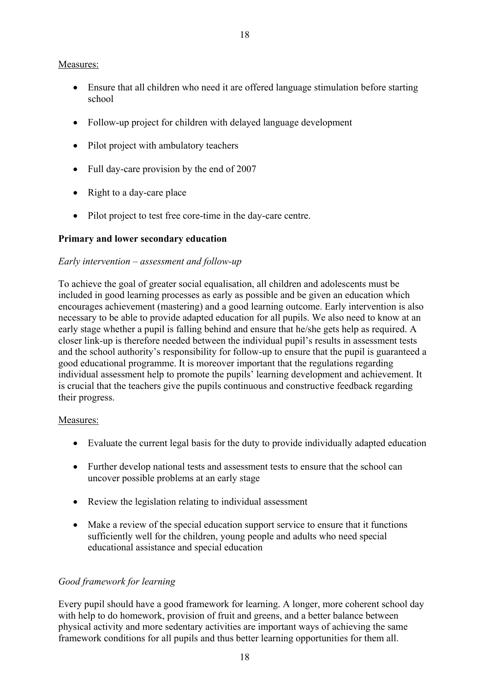# Measures:

- Ensure that all children who need it are offered language stimulation before starting school
- Follow-up project for children with delayed language development
- Pilot project with ambulatory teachers
- Full day-care provision by the end of 2007
- Right to a day-care place
- Pilot project to test free core-time in the day-care centre.

# **Primary and lower secondary education**

# *Early intervention – assessment and follow-up*

To achieve the goal of greater social equalisation, all children and adolescents must be included in good learning processes as early as possible and be given an education which encourages achievement (mastering) and a good learning outcome. Early intervention is also necessary to be able to provide adapted education for all pupils. We also need to know at an early stage whether a pupil is falling behind and ensure that he/she gets help as required. A closer link-up is therefore needed between the individual pupil's results in assessment tests and the school authority's responsibility for follow-up to ensure that the pupil is guaranteed a good educational programme. It is moreover important that the regulations regarding individual assessment help to promote the pupils' learning development and achievement. It is crucial that the teachers give the pupils continuous and constructive feedback regarding their progress.

# Measures:

- Evaluate the current legal basis for the duty to provide individually adapted education
- Further develop national tests and assessment tests to ensure that the school can uncover possible problems at an early stage
- Review the legislation relating to individual assessment
- Make a review of the special education support service to ensure that it functions sufficiently well for the children, young people and adults who need special educational assistance and special education

# *Good framework for learning*

Every pupil should have a good framework for learning. A longer, more coherent school day with help to do homework, provision of fruit and greens, and a better balance between physical activity and more sedentary activities are important ways of achieving the same framework conditions for all pupils and thus better learning opportunities for them all.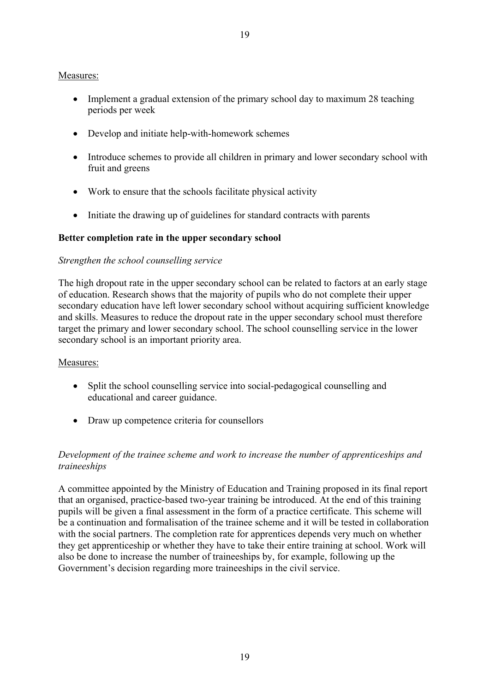#### 19

#### Measures:

- Implement a gradual extension of the primary school day to maximum 28 teaching periods per week
- Develop and initiate help-with-homework schemes
- Introduce schemes to provide all children in primary and lower secondary school with fruit and greens
- Work to ensure that the schools facilitate physical activity
- Initiate the drawing up of guidelines for standard contracts with parents

#### **Better completion rate in the upper secondary school**

#### *Strengthen the school counselling service*

The high dropout rate in the upper secondary school can be related to factors at an early stage of education. Research shows that the majority of pupils who do not complete their upper secondary education have left lower secondary school without acquiring sufficient knowledge and skills. Measures to reduce the dropout rate in the upper secondary school must therefore target the primary and lower secondary school. The school counselling service in the lower secondary school is an important priority area.

#### Measures:

- Split the school counselling service into social-pedagogical counselling and educational and career guidance.
- Draw up competence criteria for counsellors

# *Development of the trainee scheme and work to increase the number of apprenticeships and traineeships*

A committee appointed by the Ministry of Education and Training proposed in its final report that an organised, practice-based two-year training be introduced. At the end of this training pupils will be given a final assessment in the form of a practice certificate. This scheme will be a continuation and formalisation of the trainee scheme and it will be tested in collaboration with the social partners. The completion rate for apprentices depends very much on whether they get apprenticeship or whether they have to take their entire training at school. Work will also be done to increase the number of traineeships by, for example, following up the Government's decision regarding more traineeships in the civil service.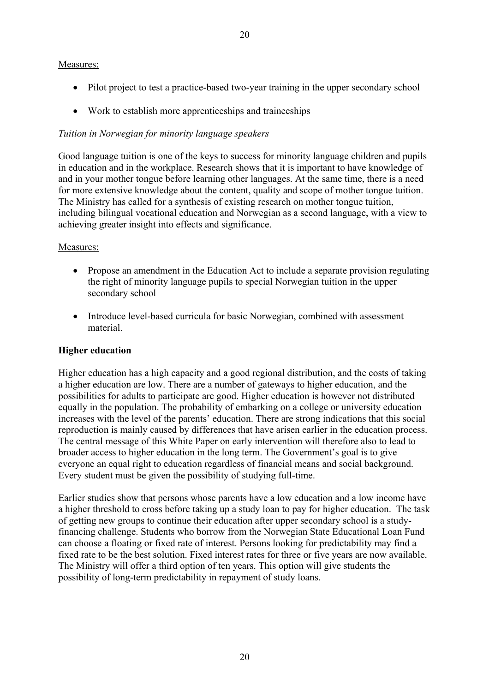#### Measures:

- Pilot project to test a practice-based two-year training in the upper secondary school
- Work to establish more apprenticeships and traineeships

# *Tuition in Norwegian for minority language speakers*

Good language tuition is one of the keys to success for minority language children and pupils in education and in the workplace. Research shows that it is important to have knowledge of and in your mother tongue before learning other languages. At the same time, there is a need for more extensive knowledge about the content, quality and scope of mother tongue tuition. The Ministry has called for a synthesis of existing research on mother tongue tuition, including bilingual vocational education and Norwegian as a second language, with a view to achieving greater insight into effects and significance.

# Measures:

- Propose an amendment in the Education Act to include a separate provision regulating the right of minority language pupils to special Norwegian tuition in the upper secondary school
- Introduce level-based curricula for basic Norwegian, combined with assessment material.

# **Higher education**

Higher education has a high capacity and a good regional distribution, and the costs of taking a higher education are low. There are a number of gateways to higher education, and the possibilities for adults to participate are good. Higher education is however not distributed equally in the population. The probability of embarking on a college or university education increases with the level of the parents' education. There are strong indications that this social reproduction is mainly caused by differences that have arisen earlier in the education process. The central message of this White Paper on early intervention will therefore also to lead to broader access to higher education in the long term. The Government's goal is to give everyone an equal right to education regardless of financial means and social background. Every student must be given the possibility of studying full-time.

Earlier studies show that persons whose parents have a low education and a low income have a higher threshold to cross before taking up a study loan to pay for higher education. The task of getting new groups to continue their education after upper secondary school is a studyfinancing challenge. Students who borrow from the Norwegian State Educational Loan Fund can choose a floating or fixed rate of interest. Persons looking for predictability may find a fixed rate to be the best solution. Fixed interest rates for three or five years are now available. The Ministry will offer a third option of ten years. This option will give students the possibility of long-term predictability in repayment of study loans.